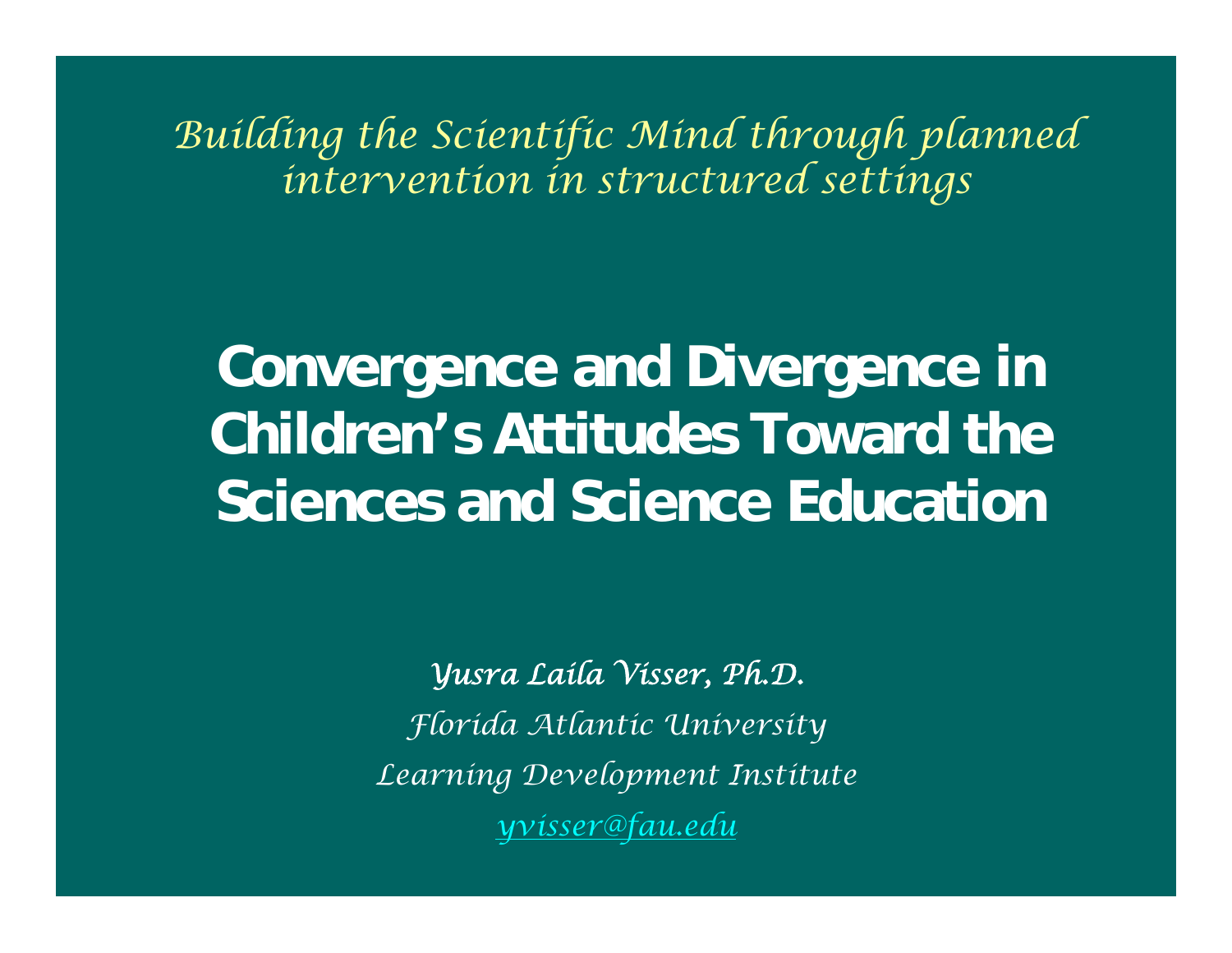*Building the Scientific Mind through planned intervention in structured settings*

**Convergence and Divergence in Children's Attitudes Toward the Sciences and Science Education**

> *Yusra Laila Visser, P h.D. Florida Atlantic University Learning Develop ment Institut e yv[isser@fau.edu](mailto:yvisser@fau.edu)*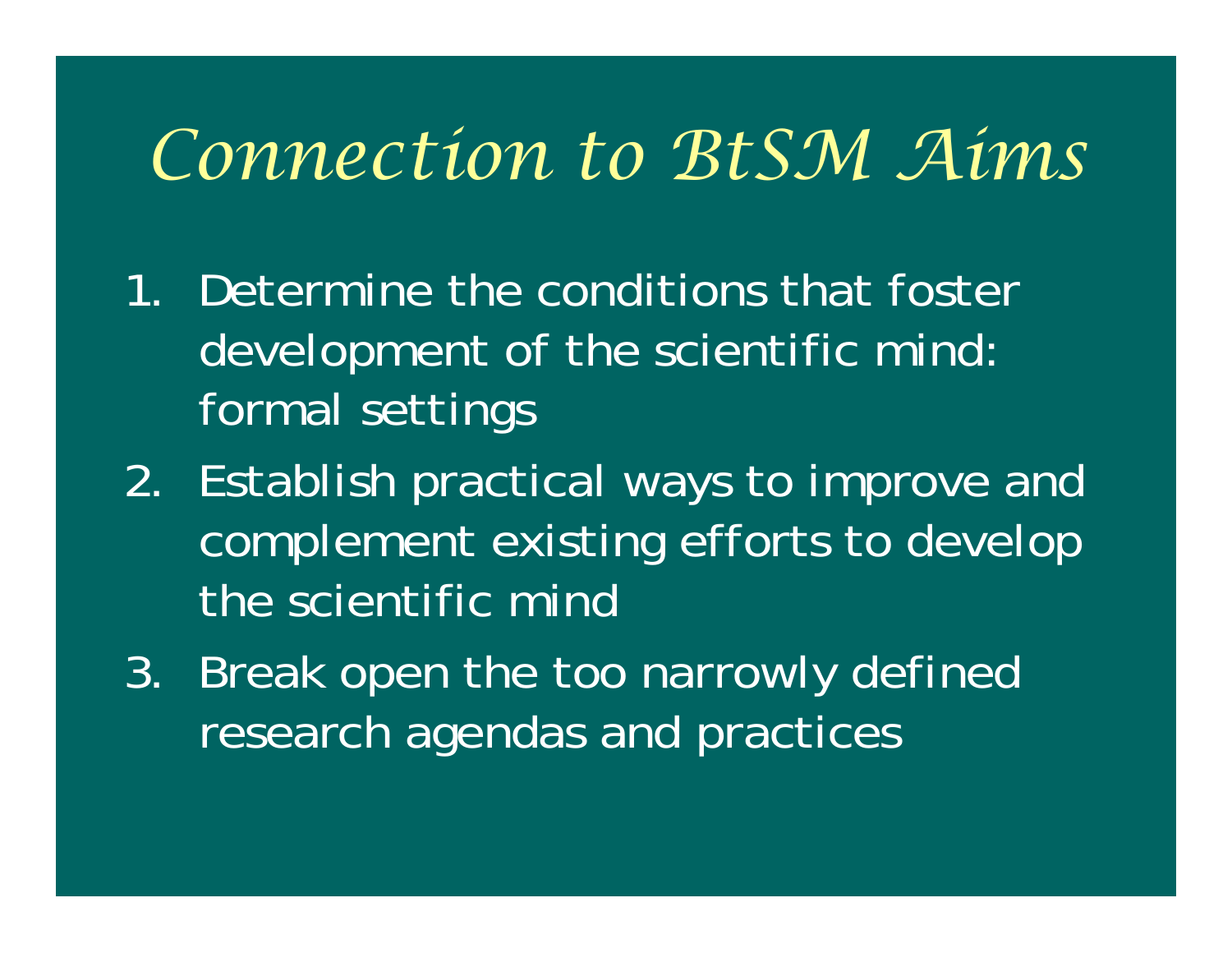#### *Connection to BtSM Aims*

- 1. Determine the conditions that foster development of the scientific mind: formal settings
- 2. Establish practical ways to improve and complement existing efforts to develop the scientific mind
- 3. Break open the too narrowly defined research agendas and practices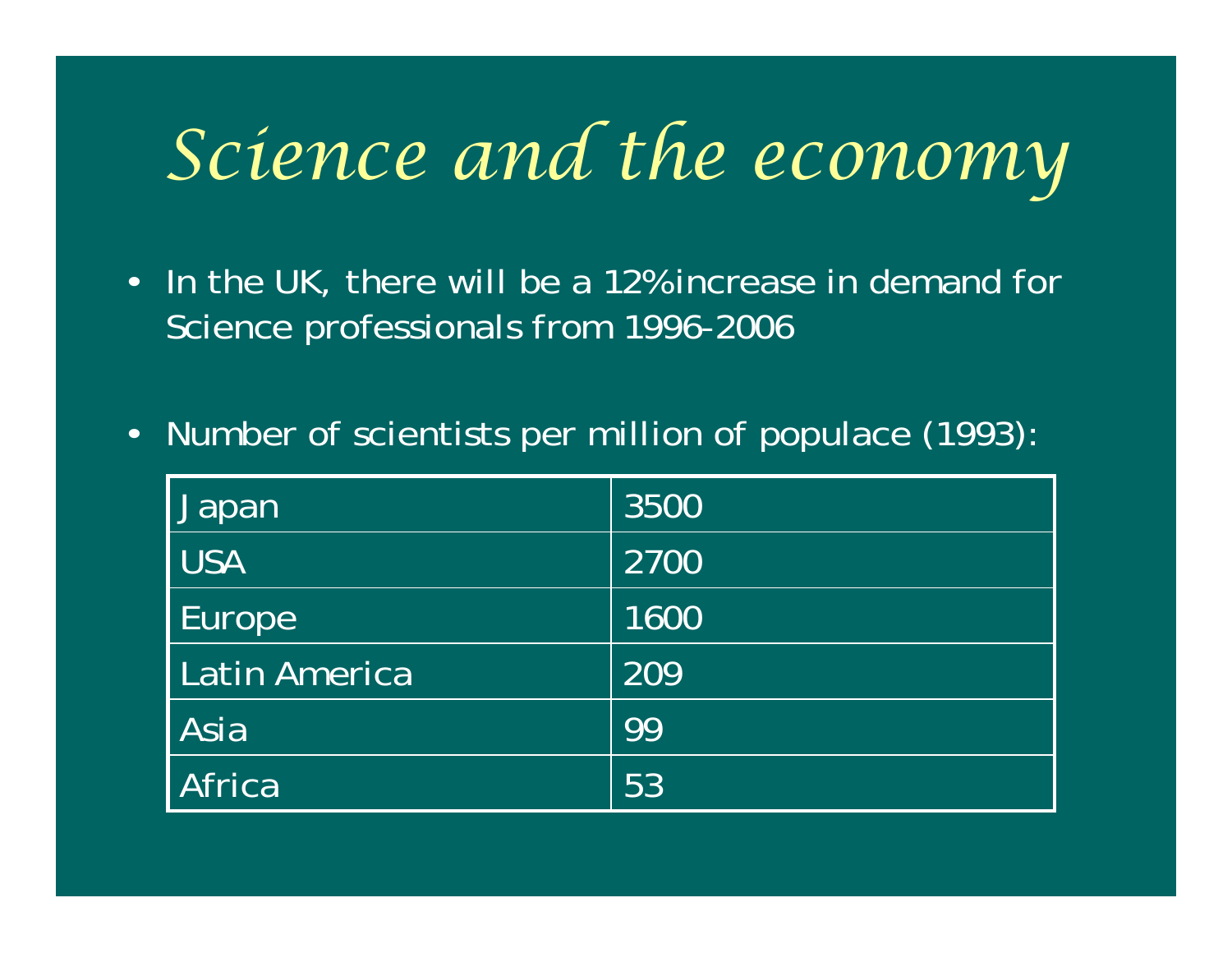## *Science and the economy*

- In the UK, there will be a 12% increase in demand for Science professionals from 1996-2006
- •Number of scientists per million of populace (1993):

| Japan         | 3500 |
|---------------|------|
| <b>USA</b>    | 2700 |
| Europe        | 1600 |
| Latin America | 209  |
| Asia          | 99   |
| Africa        | 53   |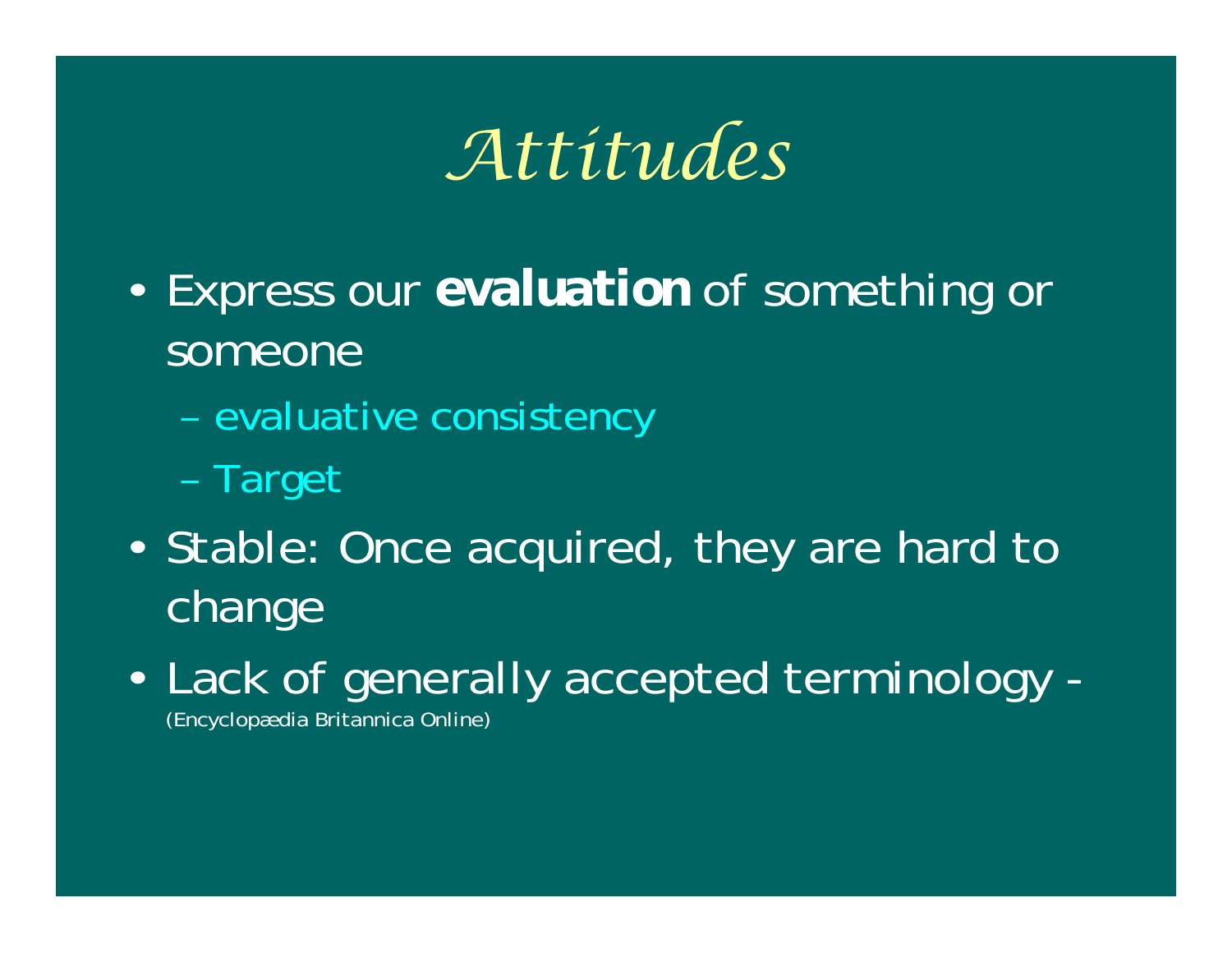*Attitudes*

- • Express our *evaluation* of something or someone
	- evaluative consistency
	- –Target
- $\epsilon$ • Stable: Once acquired, they are hard to change
- $\epsilon$  Lack of generally accepted terminology - (Encyclopædia Britannica Online)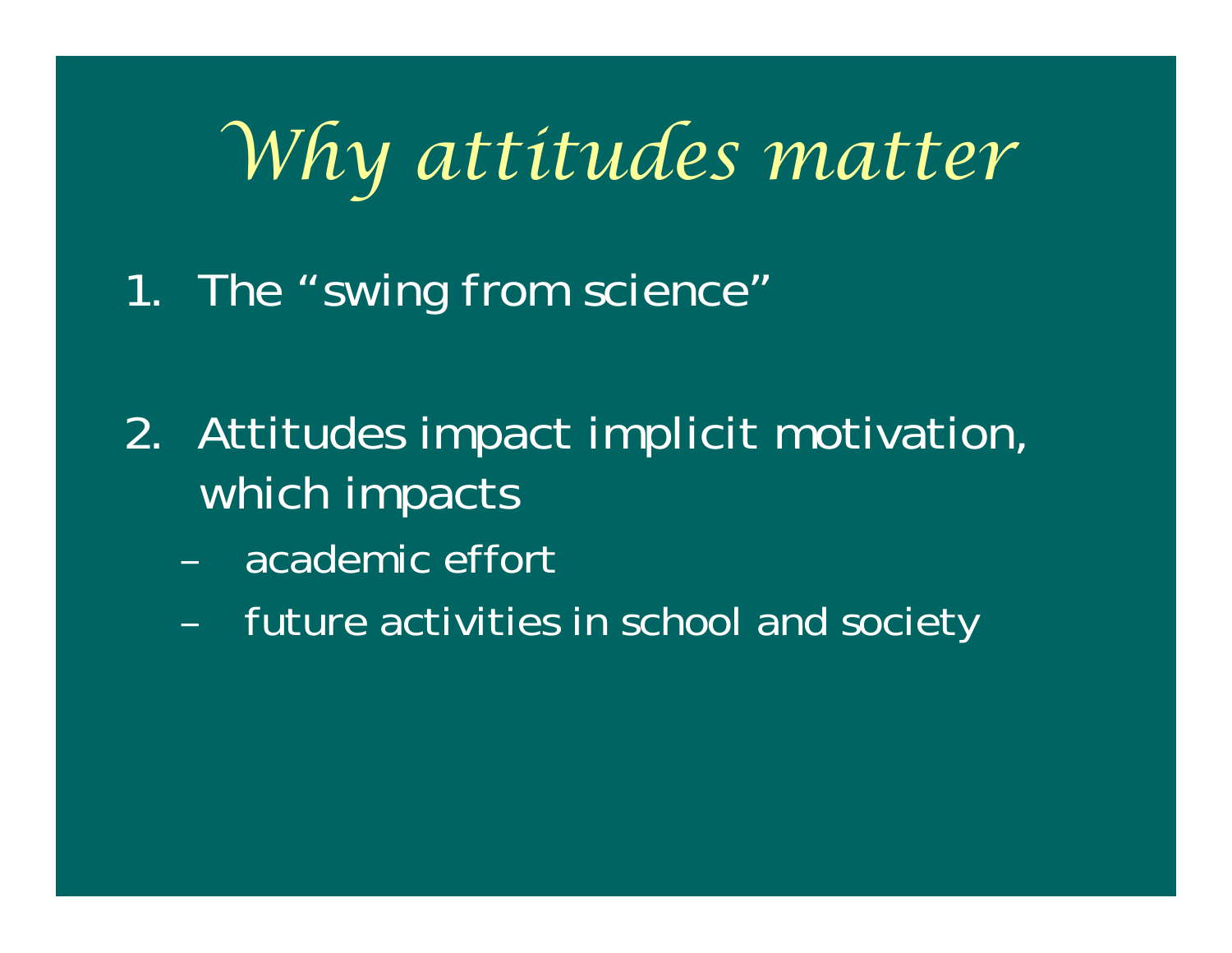## *Why attitudes matter*

1. The "swing from science"

- 2. Attitudes impact implicit motivation, which impacts
	- –academic effort
	- –future activities in school and society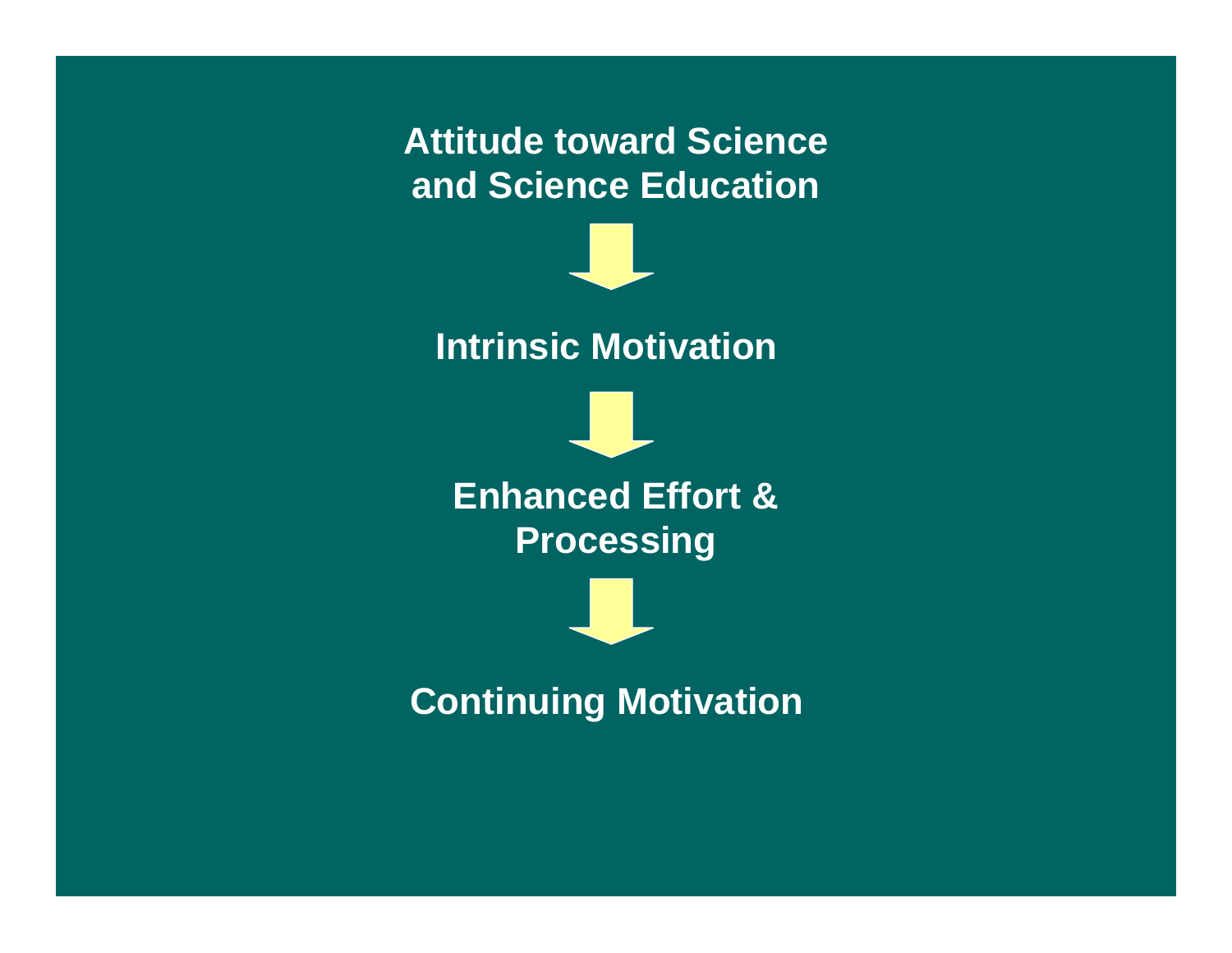#### **Attitude toward Science and Science Education**



**Intrinsic Motivation**

**Enhanced Effort & Processing**

**Continuing Motivation**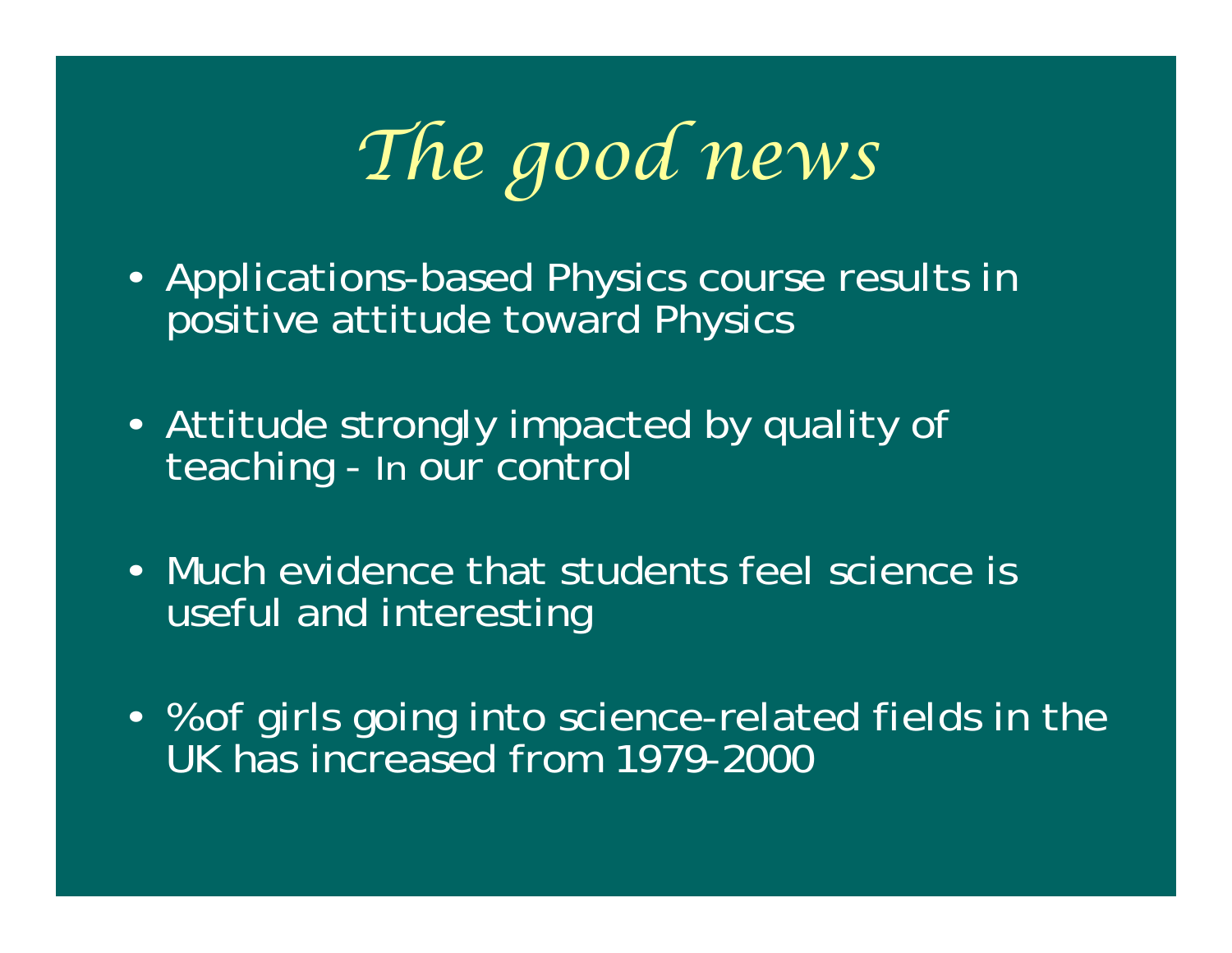*The good news*

- Applications-based Physics course results in positive attitude toward Physics
- Attitude strongly impacted by quality of teaching - In our control
- Much evidence that students feel science is useful and interesting
- % of girls going into science-related fields in the UK has increased from 1979-2000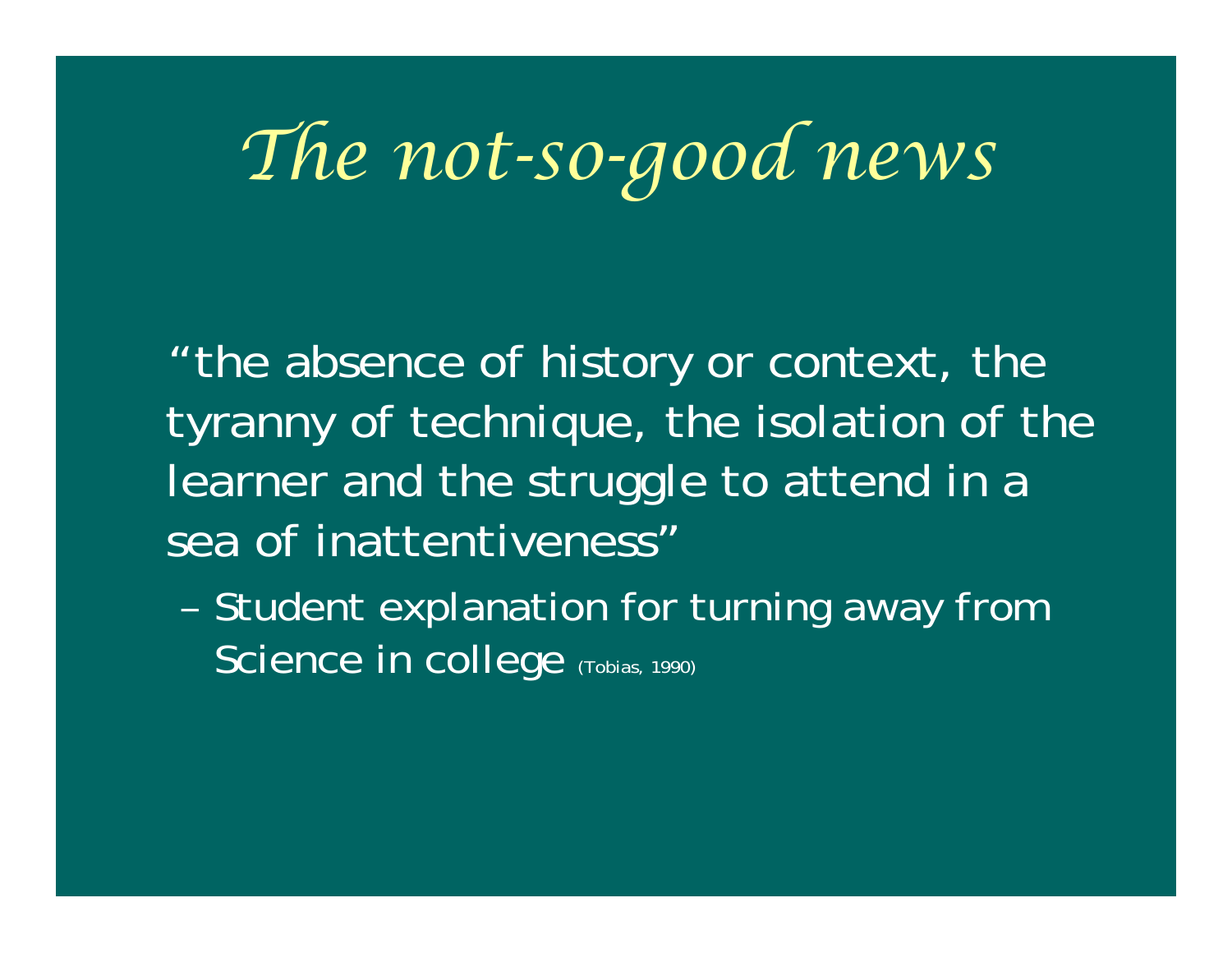## *The not-so-good news*

"the absence of history or context, the tyranny of technique, the isolation of the learner and the struggle to attend in a sea of inattentiveness"

– Student explanation for turning away from Science in college (Tobias, 1990)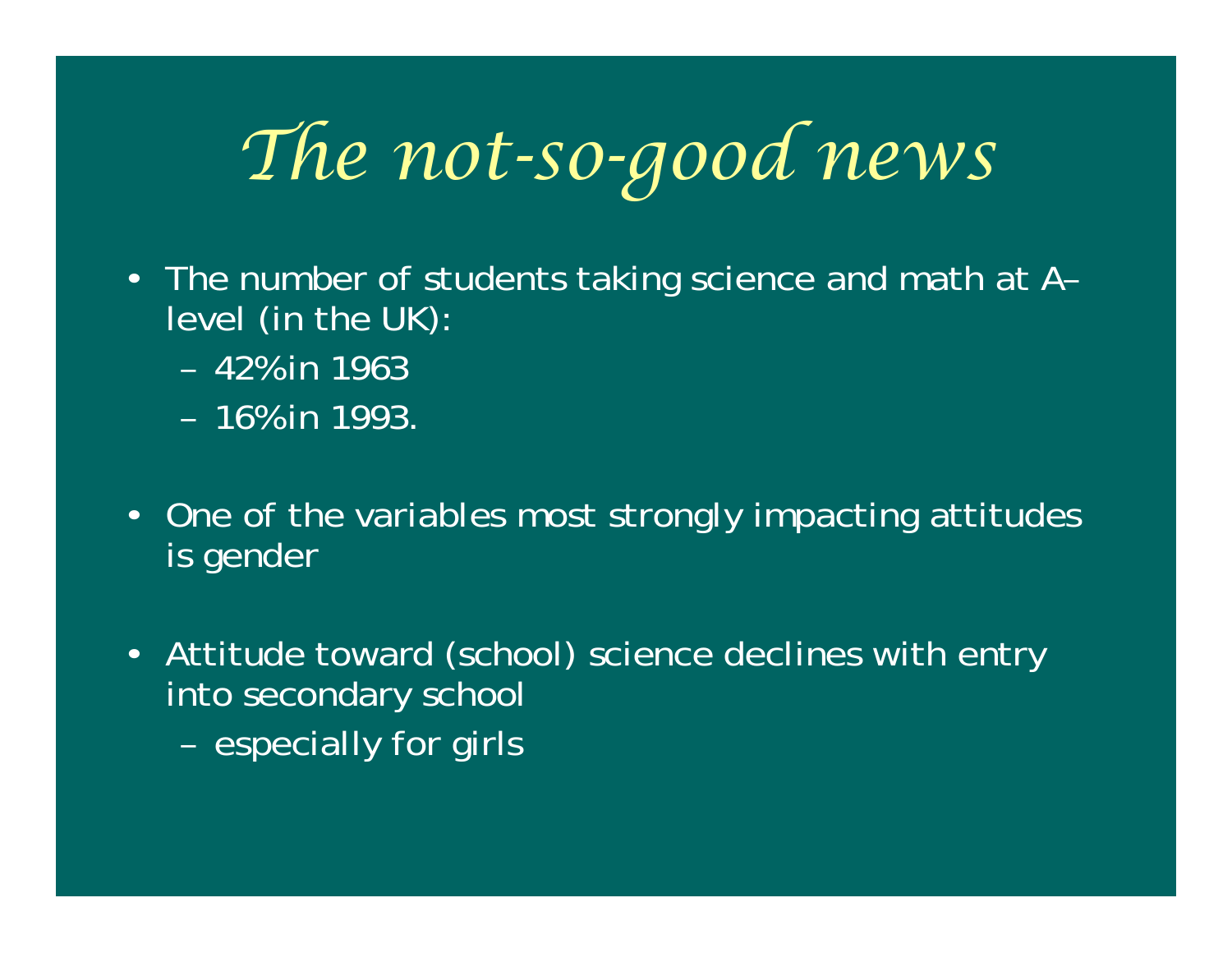## *The not-so-good news*

- The number of students taking science and math at A– level (in the UK):
	- 42% in 1963
	- 16% in 1993.
- One of the variables most strongly impacting attitudes is gender
- Attitude toward (school) science declines with entry into secondary school
	- e sp e cially fo r girls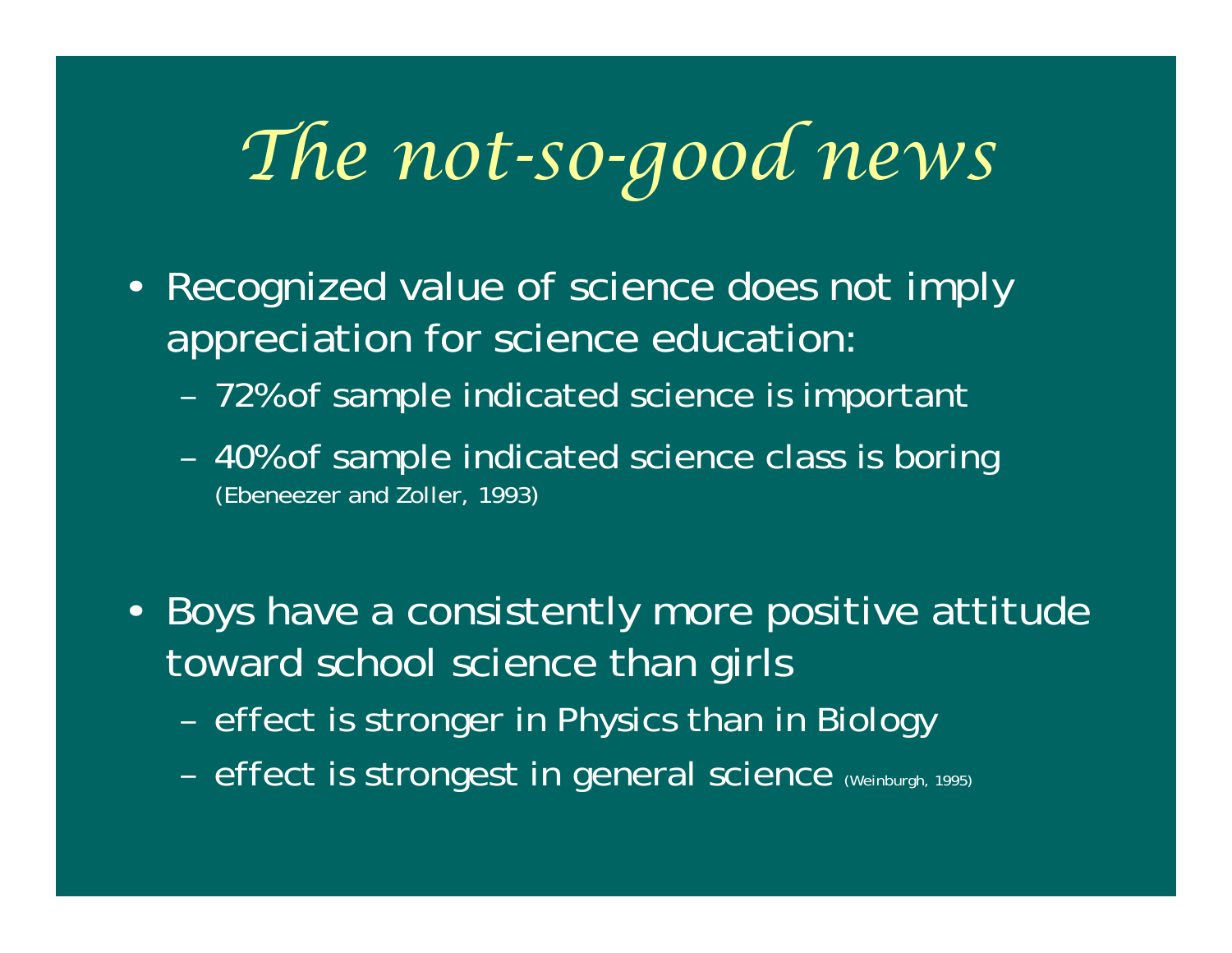## *The not-so-good news*

- Recognized value of science does not imply appreciation for science education:
	- –72% of sample indicated science is important
	- – 40% of sample indicated science class is boring (Ebeneezer and Zoller, 1993)
- Boys have a consistently more positive attitude toward school science than girls
	- effect is stronger in Physics than in Biology
	- effect is strongest in general science (Weinburgh, 1995)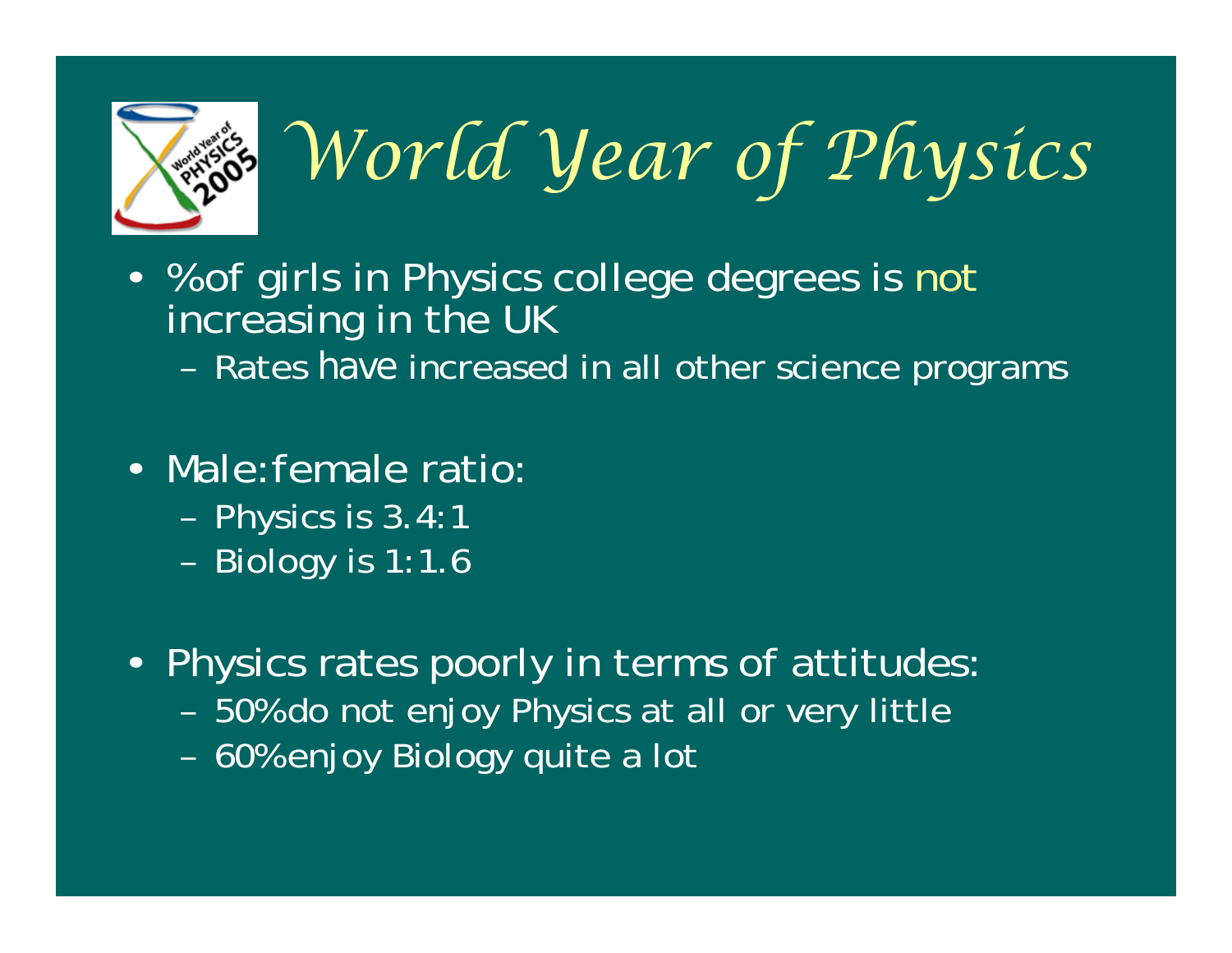

# *World Year of Physics*

• % of girls in Physics college degrees is not increasing in the UK

– Rates *have* increased in all other science programs

- •Male:female ratio:
	- P h ysics i s 3.4:1
	- Biology is 1:1.6
- Physics rates poorly in terms of attitudes:
	- –50% do not enjoy Physics at all or very little
	- –60% enjoy Biology quite a lot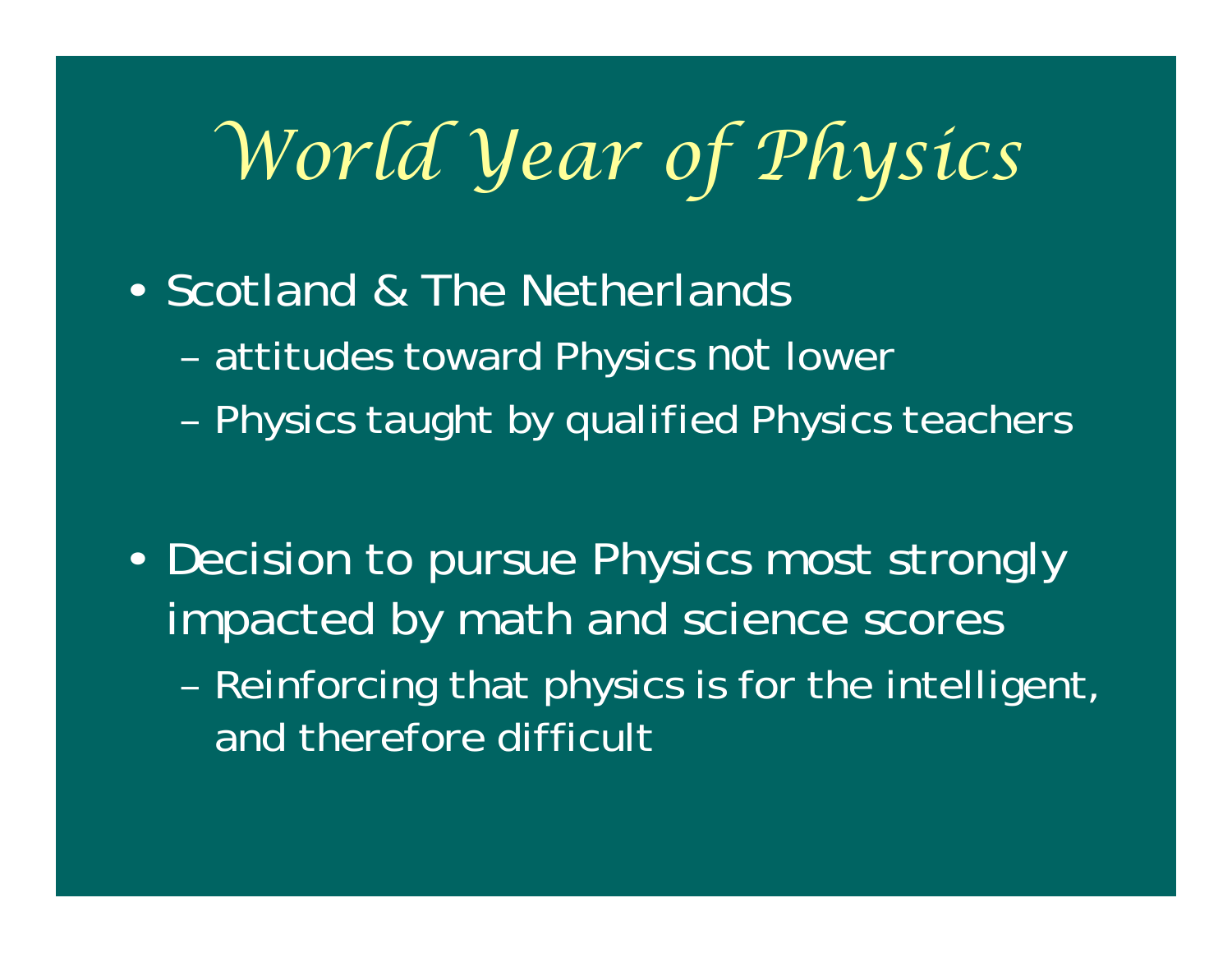## *World Year of Physics*

- •• Scotland & The Netherlands
	- attitudes toward Physics *not* lower
	- Physics taught by qualified Physics teachers

- •• Decision to pursue Physics most strongly impacted by math and science scores
	- Reinforcing that physics is for the intelligent, and therefore difficult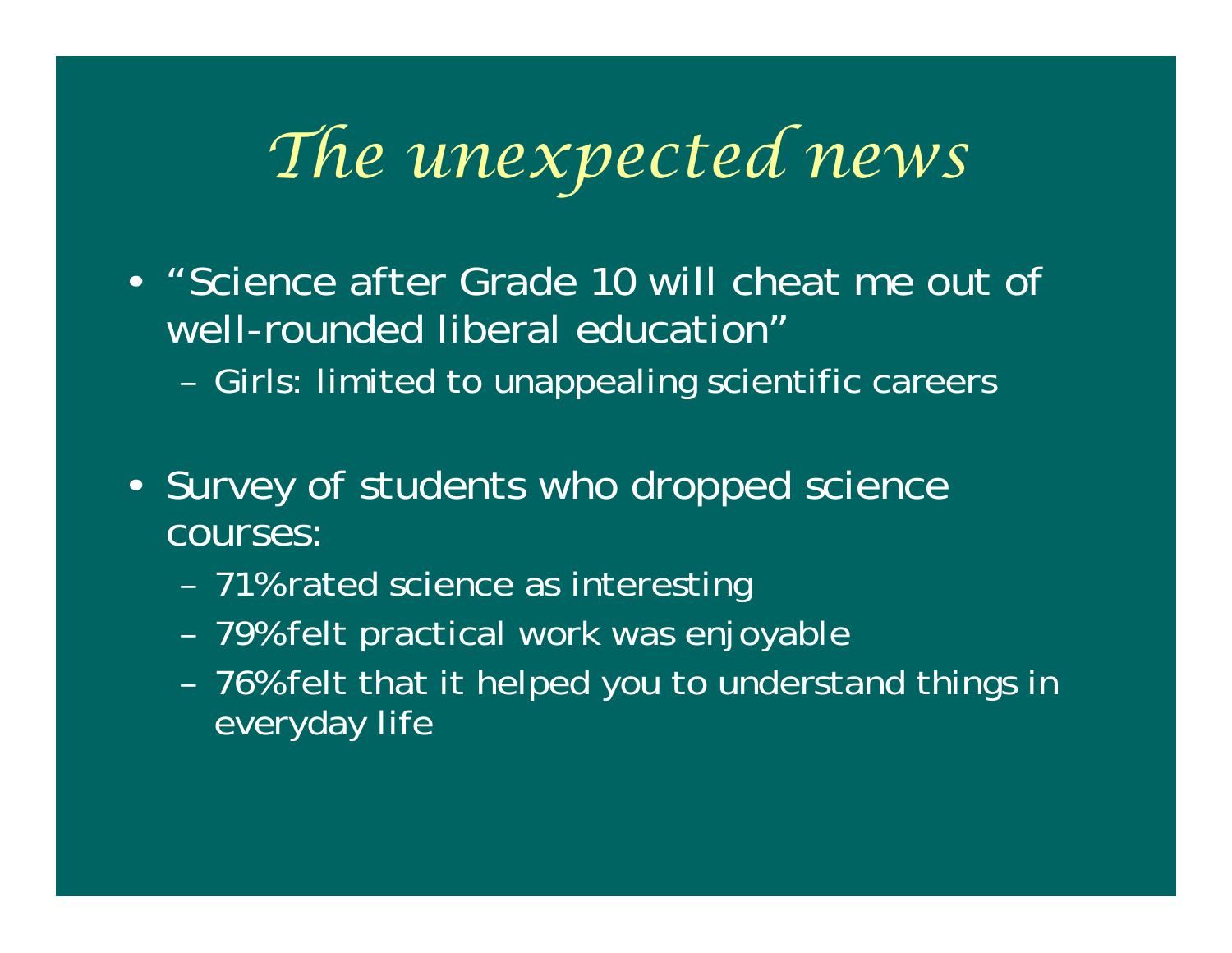## *The unexpected news*

- •"Science after Grade 10 will cheat me out of well-rounded liberal education"
	- Girls: limited to unappealing scientific careers
- Survey of students who dropped science courses:
	- –71% rated science as interesting
	- –79% felt practical work was enjoyable
	- – 76% felt that it helped you to understand things in everyday life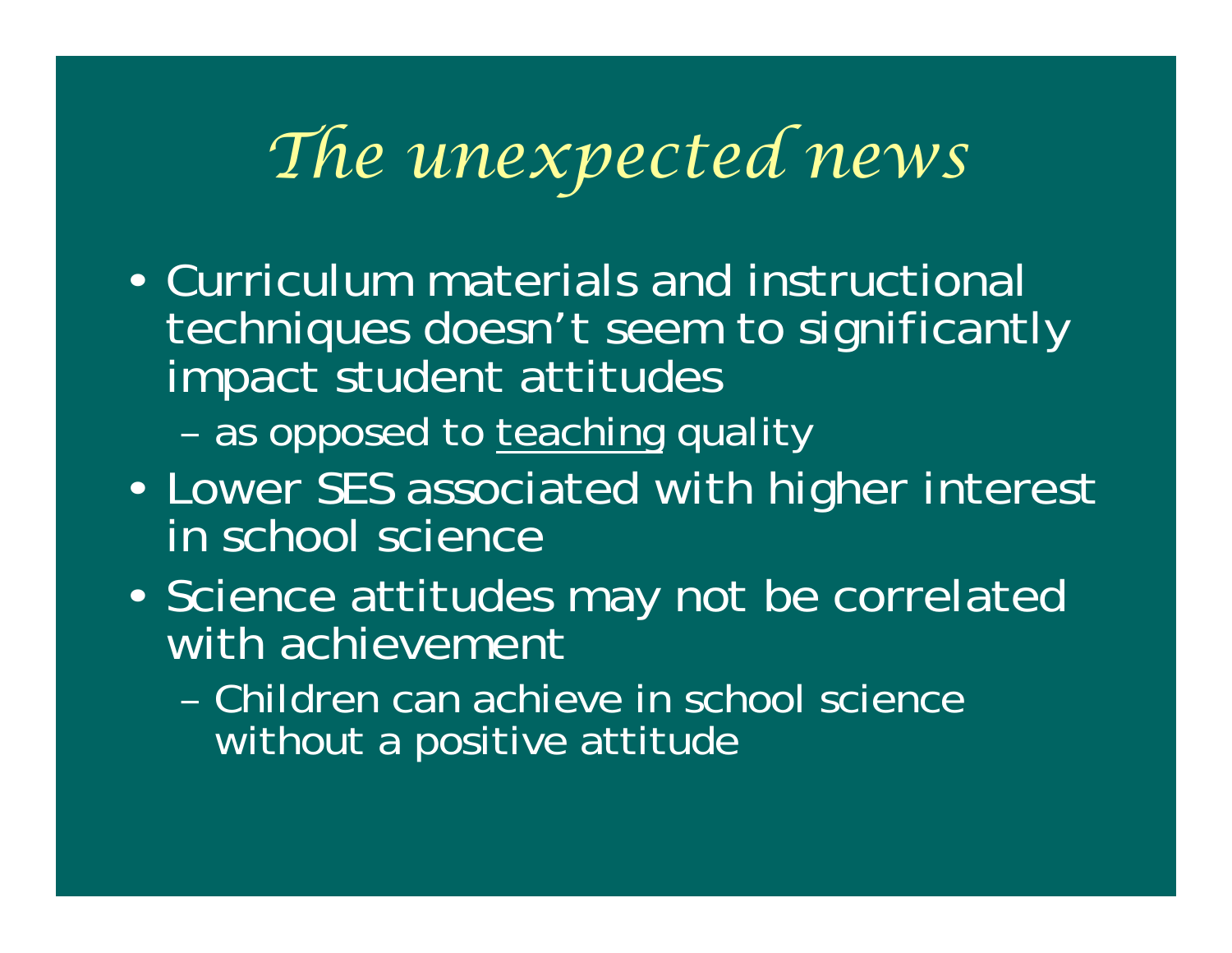## *The unexpected news*

•Curriculum materials and instructional techniques doesn't seem to significantly impact student attitudes

- as opposed to <u>teaching</u> quality

- $\epsilon$  Lower SES associated with higher interest in school science
- •Science attitudes may not be correlated with achievement
	- Children can achieve in school science without a positive attitude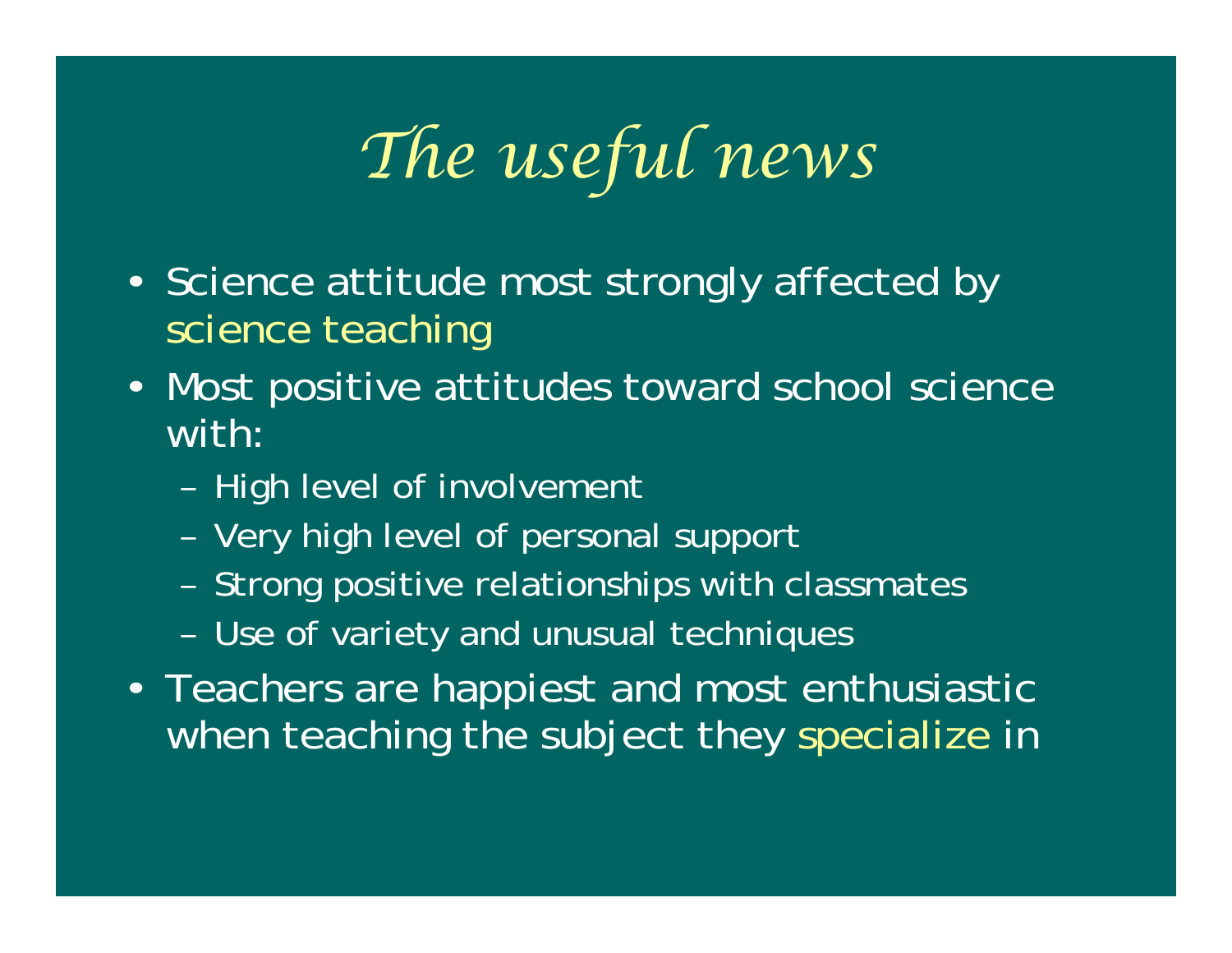## *The useful news*

- Science attitude most strongly affected by science teaching
- Most positive attitudes toward school science with:
	- High level of involvement
	- Very high level of personal support
	- Strong positive relationships with classmates
	- Use of variety and unusual techniques
- Teachers are happiest and most enthusiastic when teaching the subject they specialize in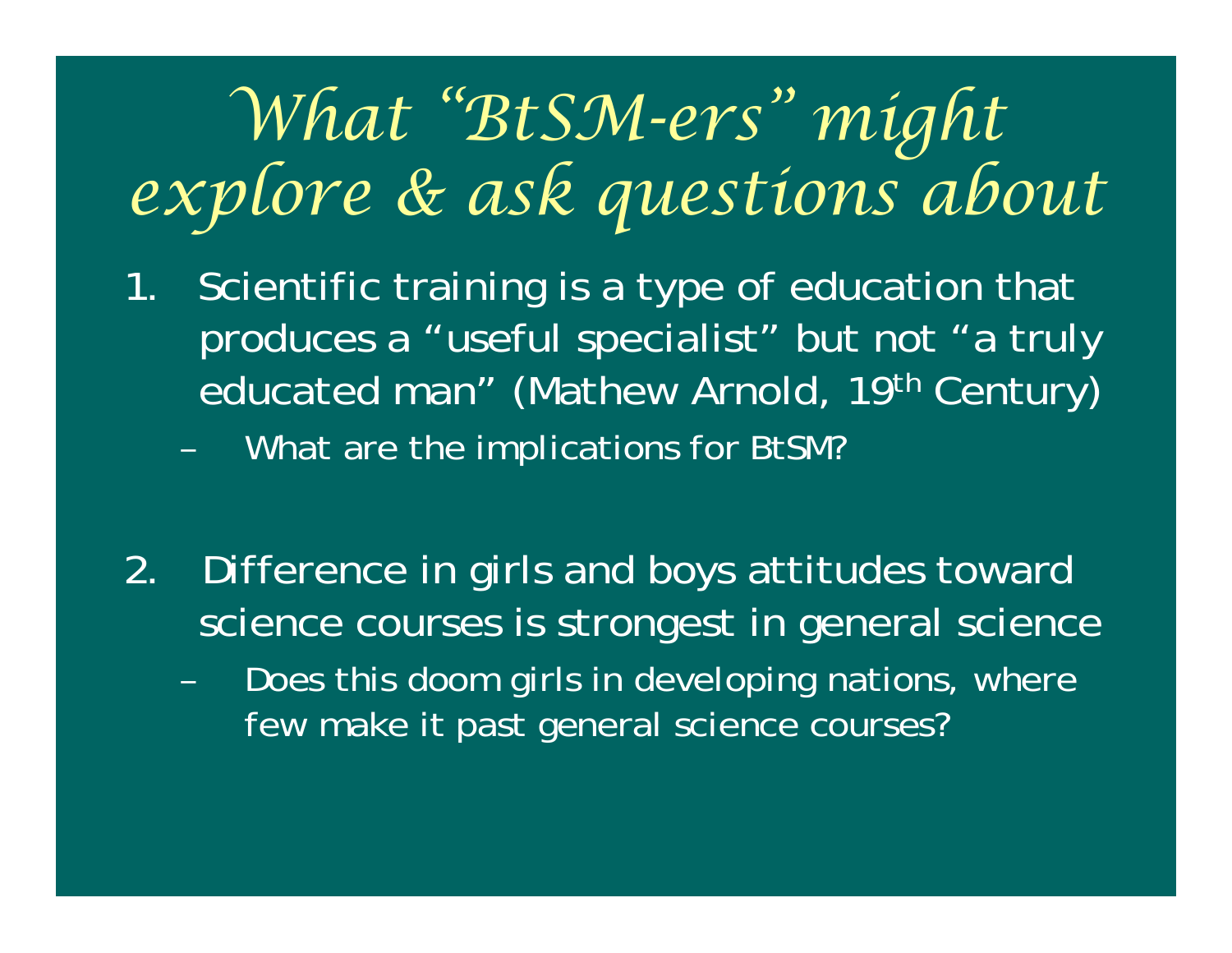#### *What "BtSM-ers" might explore & ask questions about*

- 1. Scientific training is a type of education that produces a "useful specialist" but not "a truly educated man" (Mathew Arnold, 19<sup>th</sup> Century)
	- –What are the implications for BtSM?
- 2. Difference in girls and boys attitudes toward science courses is strongest in general science
	- Does this doom girls in developing nations, where few make it past general science courses?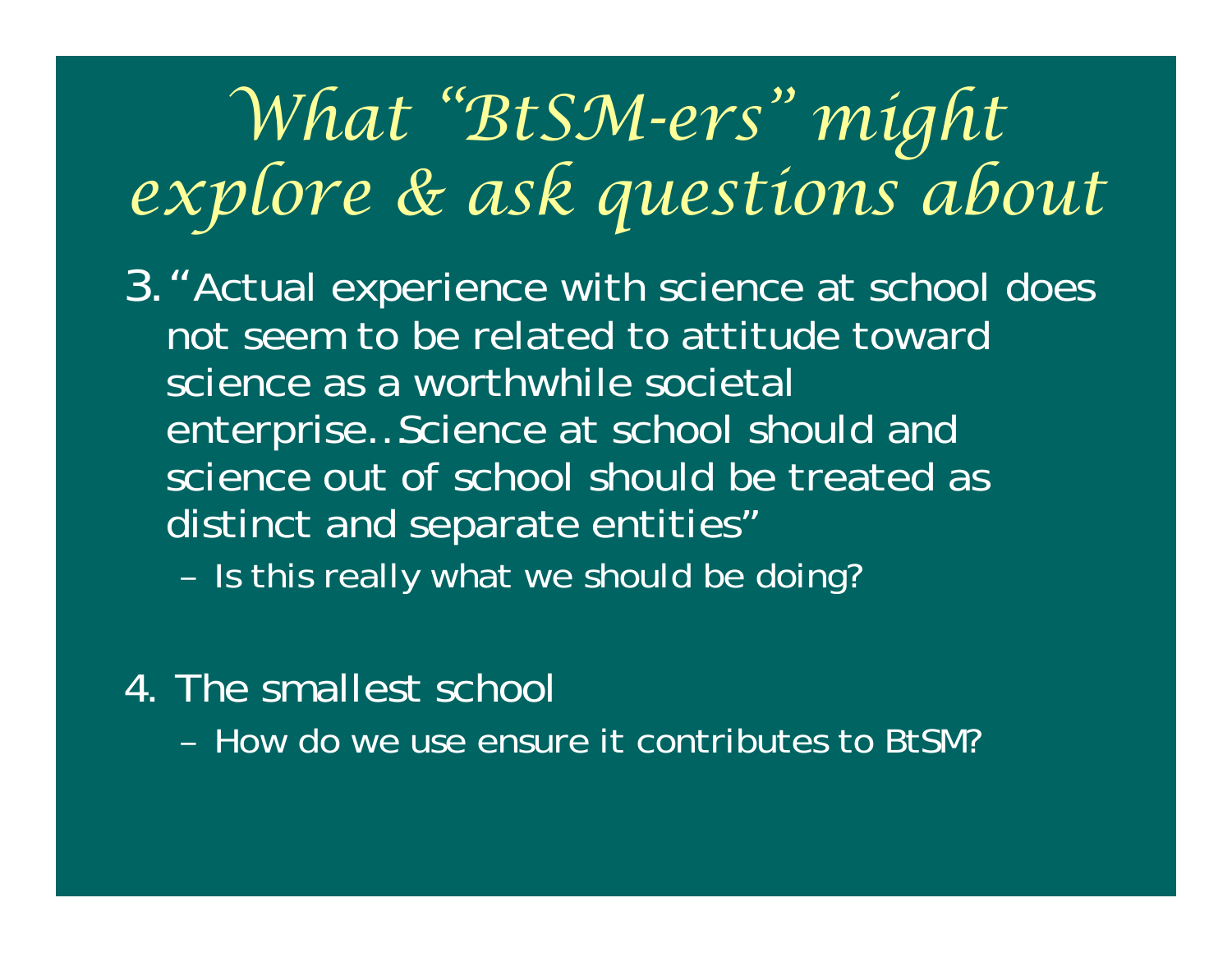#### *What "BtSM-ers" might explore & ask questions about*

- 3."Actual experience with science at school does not seem to be related to attitude toward science as a worthwhile societal enterprise…Science at school should and science out of school should be treated as distinct and separate entities"
	- –- Is this really what we should be doing?
- 4. The smallest school
	- How do we use ensure it contributes to BtSM?